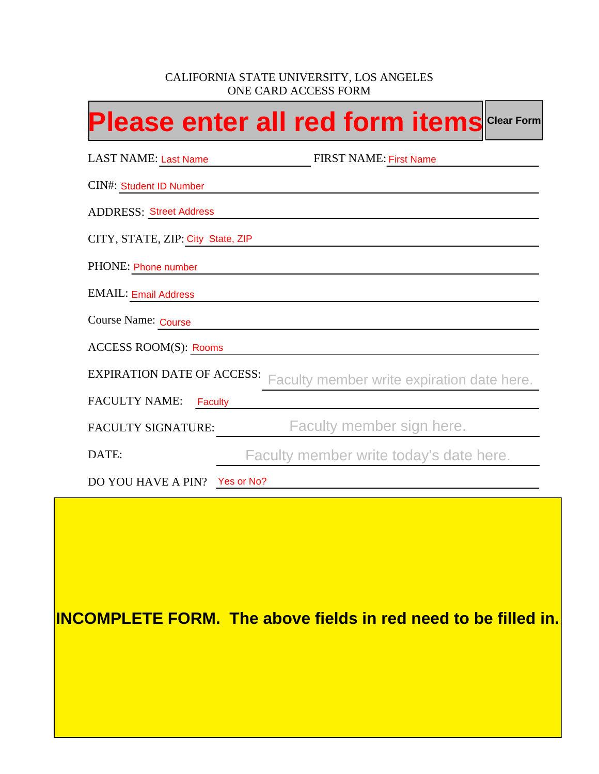## CALIFORNIA STATE UNIVERSITY, LOS ANGELES ONE CARD ACCESS FORM

|                                                                                 | <b>Please enter all red form items</b> Clear Form |  |  |  |  |
|---------------------------------------------------------------------------------|---------------------------------------------------|--|--|--|--|
| <b>LAST NAME: Last Name</b>                                                     | <b>FIRST NAME: First Name</b>                     |  |  |  |  |
| <b>CIN#: Student ID Number</b>                                                  |                                                   |  |  |  |  |
| <b>ADDRESS: Street Address</b>                                                  |                                                   |  |  |  |  |
| CITY, STATE, ZIP: City State, ZIP                                               |                                                   |  |  |  |  |
| PHONE: Phone number                                                             |                                                   |  |  |  |  |
| <b>EMAIL: Email Address</b>                                                     |                                                   |  |  |  |  |
| Course Name: Course                                                             |                                                   |  |  |  |  |
| <b>ACCESS ROOM(S): Rooms</b>                                                    |                                                   |  |  |  |  |
| <b>EXPIRATION DATE OF ACCESS:</b><br>Faculty member write expiration date here. |                                                   |  |  |  |  |
| <b>FACULTY NAME:</b><br>Faculty                                                 |                                                   |  |  |  |  |
| <b>FACULTY SIGNATURE:</b>                                                       | Faculty member sign here.                         |  |  |  |  |
| DATE:                                                                           | Faculty member write today's date here.           |  |  |  |  |
| DO YOU HAVE A PIN? Yes or No?                                                   |                                                   |  |  |  |  |

**INCOMPLETE FORM. The above fields in red need to be filled in.**